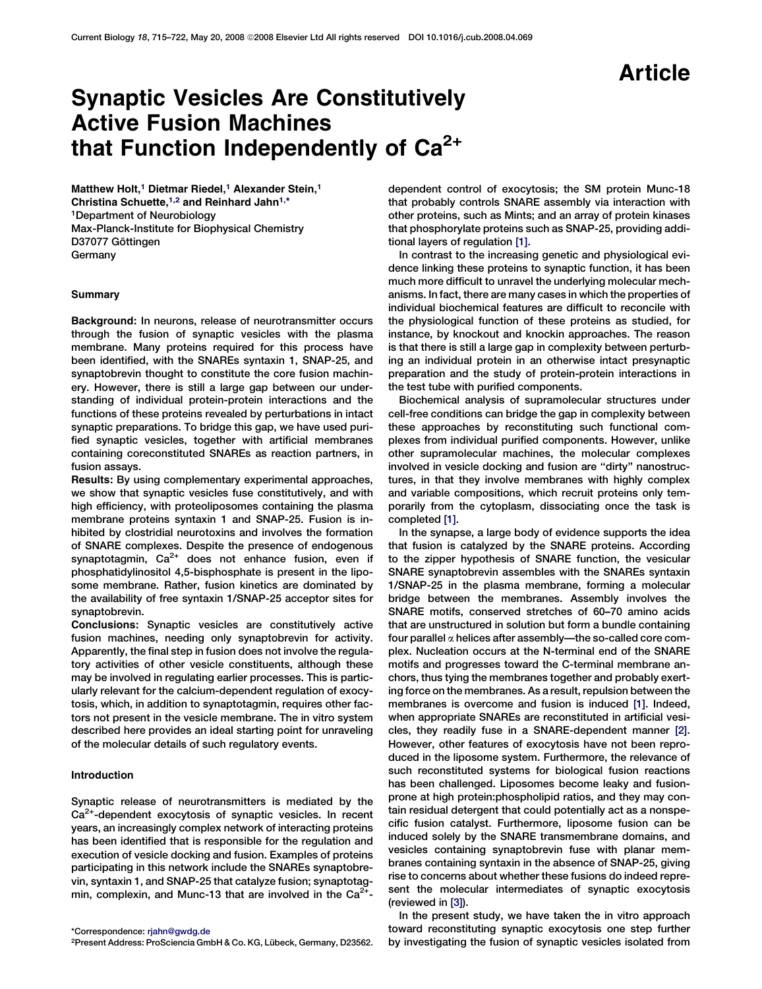# Article

# Synaptic Vesicles Are Constitutively Active Fusion Machines that Function Independently of  $Ca^{2+}$

Matthew Holt.<sup>1</sup> Dietmar Riedel.<sup>1</sup> Alexander Stein.<sup>1</sup> Christina Schuette,<sup>1,2</sup> and Reinhard Jahn<sup>1,\*</sup> 1Department of Neurobiology Max-Planck-Institute for Biophysical Chemistry D37077 Göttingen Germany

### Summary

Background: In neurons, release of neurotransmitter occurs through the fusion of synaptic vesicles with the plasma membrane. Many proteins required for this process have been identified, with the SNAREs syntaxin 1, SNAP-25, and synaptobrevin thought to constitute the core fusion machinery. However, there is still a large gap between our understanding of individual protein-protein interactions and the functions of these proteins revealed by perturbations in intact synaptic preparations. To bridge this gap, we have used purified synaptic vesicles, together with artificial membranes containing coreconstituted SNAREs as reaction partners, in fusion assays.

Results: By using complementary experimental approaches, we show that synaptic vesicles fuse constitutively, and with high efficiency, with proteoliposomes containing the plasma membrane proteins syntaxin 1 and SNAP-25. Fusion is inhibited by clostridial neurotoxins and involves the formation of SNARE complexes. Despite the presence of endogenous synaptotagmin,  $Ca^{2+}$  does not enhance fusion, even if phosphatidylinositol 4,5-bisphosphate is present in the liposome membrane. Rather, fusion kinetics are dominated by the availability of free syntaxin 1/SNAP-25 acceptor sites for synaptobrevin.

Conclusions: Synaptic vesicles are constitutively active fusion machines, needing only synaptobrevin for activity. Apparently, the final step in fusion does not involve the regulatory activities of other vesicle constituents, although these may be involved in regulating earlier processes. This is particularly relevant for the calcium-dependent regulation of exocytosis, which, in addition to synaptotagmin, requires other factors not present in the vesicle membrane. The in vitro system described here provides an ideal starting point for unraveling of the molecular details of such regulatory events.

## Introduction

Synaptic release of neurotransmitters is mediated by the  $Ca<sup>2+</sup>$ -dependent exocytosis of synaptic vesicles. In recent years, an increasingly complex network of interacting proteins has been identified that is responsible for the regulation and execution of vesicle docking and fusion. Examples of proteins participating in this network include the SNAREs synaptobrevin, syntaxin 1, and SNAP-25 that catalyze fusion; synaptotagmin, complexin, and Munc-13 that are involved in the  $Ca^{2+}$ -

dependent control of exocytosis; the SM protein Munc-18 that probably controls SNARE assembly via interaction with other proteins, such as Mints; and an array of protein kinases that phosphorylate proteins such as SNAP-25, providing additional layers of regulation [\[1\].](#page-7-0)

In contrast to the increasing genetic and physiological evidence linking these proteins to synaptic function, it has been much more difficult to unravel the underlying molecular mechanisms. In fact, there are many cases in which the properties of individual biochemical features are difficult to reconcile with the physiological function of these proteins as studied, for instance, by knockout and knockin approaches. The reason is that there is still a large gap in complexity between perturbing an individual protein in an otherwise intact presynaptic preparation and the study of protein-protein interactions in the test tube with purified components.

Biochemical analysis of supramolecular structures under cell-free conditions can bridge the gap in complexity between these approaches by reconstituting such functional complexes from individual purified components. However, unlike other supramolecular machines, the molecular complexes involved in vesicle docking and fusion are ''dirty'' nanostructures, in that they involve membranes with highly complex and variable compositions, which recruit proteins only temporarily from the cytoplasm, dissociating once the task is completed [\[1\]](#page-7-0).

In the synapse, a large body of evidence supports the idea that fusion is catalyzed by the SNARE proteins. According to the zipper hypothesis of SNARE function, the vesicular SNARE synaptobrevin assembles with the SNAREs syntaxin 1/SNAP-25 in the plasma membrane, forming a molecular bridge between the membranes. Assembly involves the SNARE motifs, conserved stretches of 60–70 amino acids that are unstructured in solution but form a bundle containing four parallel  $\alpha$  helices after assembly—the so-called core complex. Nucleation occurs at the N-terminal end of the SNARE motifs and progresses toward the C-terminal membrane anchors, thus tying the membranes together and probably exerting force on the membranes. As a result, repulsion between the membranes is overcome and fusion is induced [\[1\]](#page-7-0). Indeed, when appropriate SNAREs are reconstituted in artificial vesicles, they readily fuse in a SNARE-dependent manner [\[2\]](#page-7-0). However, other features of exocytosis have not been reproduced in the liposome system. Furthermore, the relevance of such reconstituted systems for biological fusion reactions has been challenged. Liposomes become leaky and fusionprone at high protein:phospholipid ratios, and they may contain residual detergent that could potentially act as a nonspecific fusion catalyst. Furthermore, liposome fusion can be induced solely by the SNARE transmembrane domains, and vesicles containing synaptobrevin fuse with planar membranes containing syntaxin in the absence of SNAP-25, giving rise to concerns about whether these fusions do indeed represent the molecular intermediates of synaptic exocytosis (reviewed in [\[3\]](#page-7-0)).

In the present study, we have taken the in vitro approach toward reconstituting synaptic exocytosis one step further by investigating the fusion of synaptic vesicles isolated from

<sup>\*</sup>Correspondence: [rjahn@gwdg.de](mailto:rjahn@gwdg.de)

<sup>&</sup>lt;sup>2</sup>Present Address: ProSciencia GmbH & Co. KG, Lübeck, Germany, D23562.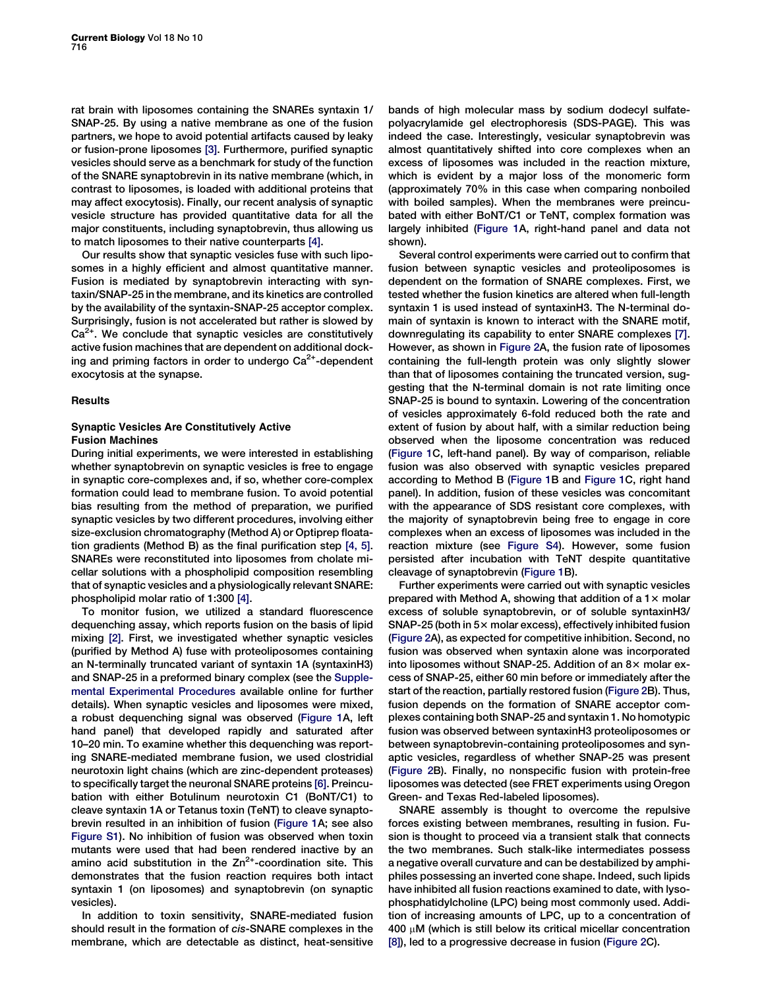rat brain with liposomes containing the SNAREs syntaxin 1/ SNAP-25. By using a native membrane as one of the fusion partners, we hope to avoid potential artifacts caused by leaky or fusion-prone liposomes [\[3\].](#page-7-0) Furthermore, purified synaptic vesicles should serve as a benchmark for study of the function of the SNARE synaptobrevin in its native membrane (which, in contrast to liposomes, is loaded with additional proteins that may affect exocytosis). Finally, our recent analysis of synaptic vesicle structure has provided quantitative data for all the major constituents, including synaptobrevin, thus allowing us to match liposomes to their native counterparts [\[4\].](#page-7-0)

Our results show that synaptic vesicles fuse with such liposomes in a highly efficient and almost quantitative manner. Fusion is mediated by synaptobrevin interacting with syntaxin/SNAP-25 in the membrane, and its kinetics are controlled by the availability of the syntaxin-SNAP-25 acceptor complex. Surprisingly, fusion is not accelerated but rather is slowed by  $Ca<sup>2+</sup>$ . We conclude that synaptic vesicles are constitutively active fusion machines that are dependent on additional docking and priming factors in order to undergo  $Ca<sup>2+</sup>$ -dependent exocytosis at the synapse.

## Results

## Synaptic Vesicles Are Constitutively Active Fusion Machines

During initial experiments, we were interested in establishing whether synaptobrevin on synaptic vesicles is free to engage in synaptic core-complexes and, if so, whether core-complex formation could lead to membrane fusion. To avoid potential bias resulting from the method of preparation, we purified synaptic vesicles by two different procedures, involving either size-exclusion chromatography (Method A) or Optiprep floatation gradients (Method B) as the final purification step [\[4, 5\]](#page-7-0). SNAREs were reconstituted into liposomes from cholate micellar solutions with a phospholipid composition resembling that of synaptic vesicles and a physiologically relevant SNARE: phospholipid molar ratio of 1:300 [\[4\]](#page-7-0).

To monitor fusion, we utilized a standard fluorescence dequenching assay, which reports fusion on the basis of lipid mixing [\[2\].](#page-7-0) First, we investigated whether synaptic vesicles (purified by Method A) fuse with proteoliposomes containing an N-terminally truncated variant of syntaxin 1A (syntaxinH3) and SNAP-25 in a preformed binary complex (see the [Supple](#page-7-0)[mental Experimental Procedures](#page-7-0) available online for further details). When synaptic vesicles and liposomes were mixed, a robust dequenching signal was observed [\(Figure 1](#page-2-0)A, left hand panel) that developed rapidly and saturated after 10–20 min. To examine whether this dequenching was reporting SNARE-mediated membrane fusion, we used clostridial neurotoxin light chains (which are zinc-dependent proteases) to specifically target the neuronal SNARE proteins [\[6\].](#page-7-0) Preincubation with either Botulinum neurotoxin C1 (BoNT/C1) to cleave syntaxin 1A or Tetanus toxin (TeNT) to cleave synaptobrevin resulted in an inhibition of fusion [\(Figure 1A](#page-2-0); see also [Figure S1](#page-7-0)). No inhibition of fusion was observed when toxin mutants were used that had been rendered inactive by an amino acid substitution in the  $Zn^{2+}$ -coordination site. This demonstrates that the fusion reaction requires both intact syntaxin 1 (on liposomes) and synaptobrevin (on synaptic vesicles).

In addition to toxin sensitivity, SNARE-mediated fusion should result in the formation of cis-SNARE complexes in the membrane, which are detectable as distinct, heat-sensitive bands of high molecular mass by sodium dodecyl sulfatepolyacrylamide gel electrophoresis (SDS-PAGE). This was indeed the case. Interestingly, vesicular synaptobrevin was almost quantitatively shifted into core complexes when an excess of liposomes was included in the reaction mixture, which is evident by a major loss of the monomeric form (approximately 70% in this case when comparing nonboiled with boiled samples). When the membranes were preincubated with either BoNT/C1 or TeNT, complex formation was largely inhibited ([Figure 1](#page-2-0)A, right-hand panel and data not shown).

Several control experiments were carried out to confirm that fusion between synaptic vesicles and proteoliposomes is dependent on the formation of SNARE complexes. First, we tested whether the fusion kinetics are altered when full-length syntaxin 1 is used instead of syntaxinH3. The N-terminal domain of syntaxin is known to interact with the SNARE motif, downregulating its capability to enter SNARE complexes [\[7\]](#page-7-0). However, as shown in [Figure 2](#page-3-0)A, the fusion rate of liposomes containing the full-length protein was only slightly slower than that of liposomes containing the truncated version, suggesting that the N-terminal domain is not rate limiting once SNAP-25 is bound to syntaxin. Lowering of the concentration of vesicles approximately 6-fold reduced both the rate and extent of fusion by about half, with a similar reduction being observed when the liposome concentration was reduced ([Figure 1C](#page-2-0), left-hand panel). By way of comparison, reliable fusion was also observed with synaptic vesicles prepared according to Method B [\(Figure 1B](#page-2-0) and [Figure 1](#page-2-0)C, right hand panel). In addition, fusion of these vesicles was concomitant with the appearance of SDS resistant core complexes, with the majority of synaptobrevin being free to engage in core complexes when an excess of liposomes was included in the reaction mixture (see [Figure S4](#page-7-0)). However, some fusion persisted after incubation with TeNT despite quantitative cleavage of synaptobrevin [\(Figure 1B](#page-2-0)).

Further experiments were carried out with synaptic vesicles prepared with Method A, showing that addition of a  $1\times$  molar excess of soluble synaptobrevin, or of soluble syntaxinH3/  $SNAP-25$  (both in  $5\times$  molar excess), effectively inhibited fusion ([Figure 2](#page-3-0)A), as expected for competitive inhibition. Second, no fusion was observed when syntaxin alone was incorporated into liposomes without SNAP-25. Addition of an  $8\times$  molar excess of SNAP-25, either 60 min before or immediately after the start of the reaction, partially restored fusion [\(Figure 2B](#page-3-0)). Thus, fusion depends on the formation of SNARE acceptor complexes containing both SNAP-25 and syntaxin 1. No homotypic fusion was observed between syntaxinH3 proteoliposomes or between synaptobrevin-containing proteoliposomes and synaptic vesicles, regardless of whether SNAP-25 was present ([Figure 2](#page-3-0)B). Finally, no nonspecific fusion with protein-free liposomes was detected (see FRET experiments using Oregon Green- and Texas Red-labeled liposomes).

SNARE assembly is thought to overcome the repulsive forces existing between membranes, resulting in fusion. Fusion is thought to proceed via a transient stalk that connects the two membranes. Such stalk-like intermediates possess a negative overall curvature and can be destabilized by amphiphiles possessing an inverted cone shape. Indeed, such lipids have inhibited all fusion reactions examined to date, with lysophosphatidylcholine (LPC) being most commonly used. Addition of increasing amounts of LPC, up to a concentration of  $400 \mu$ M (which is still below its critical micellar concentration [\[8\]](#page-7-0)), led to a progressive decrease in fusion [\(Figure 2C](#page-3-0)).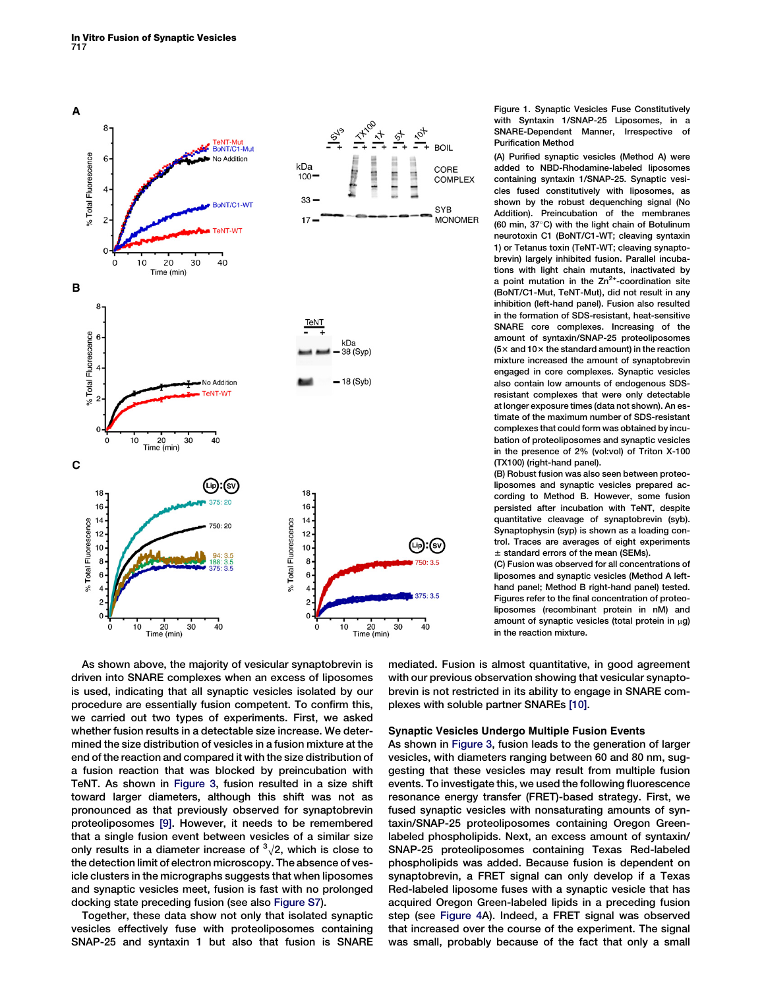<span id="page-2-0"></span>

Figure 1. Synaptic Vesicles Fuse Constitutively with Syntaxin 1/SNAP-25 Liposomes, in a SNARE-Dependent Manner, Irrespective of Purification Method

(A) Purified synaptic vesicles (Method A) were added to NBD-Rhodamine-labeled liposomes containing syntaxin 1/SNAP-25. Synaptic vesicles fused constitutively with liposomes, as shown by the robust dequenching signal (No Addition). Preincubation of the membranes (60 min, 37°C) with the light chain of Botulinum neurotoxin C1 (BoNT/C1-WT; cleaving syntaxin 1) or Tetanus toxin (TeNT-WT; cleaving synaptobrevin) largely inhibited fusion. Parallel incubations with light chain mutants, inactivated by a point mutation in the  $Zn^{2+}$ -coordination site (BoNT/C1-Mut, TeNT-Mut), did not result in any inhibition (left-hand panel). Fusion also resulted in the formation of SDS-resistant, heat-sensitive SNARE core complexes. Increasing of the amount of syntaxin/SNAP-25 proteoliposomes  $(5\times$  and 10 $\times$  the standard amount) in the reaction mixture increased the amount of synaptobrevin engaged in core complexes. Synaptic vesicles also contain low amounts of endogenous SDSresistant complexes that were only detectable at longer exposure times (data not shown). An estimate of the maximum number of SDS-resistant complexes that could form was obtained by incubation of proteoliposomes and synaptic vesicles in the presence of 2% (vol:vol) of Triton X-100 (TX100) (right-hand panel).

(B) Robust fusion was also seen between proteoliposomes and synaptic vesicles prepared according to Method B. However, some fusion persisted after incubation with TeNT, despite quantitative cleavage of synaptobrevin (syb). Synaptophysin (syp) is shown as a loading control. Traces are averages of eight experiments  $±$  standard errors of the mean (SEMs).

(C) Fusion was observed for all concentrations of liposomes and synaptic vesicles (Method A lefthand panel; Method B right-hand panel) tested. Figures refer to the final concentration of proteoliposomes (recombinant protein in nM) and amount of synaptic vesicles (total protein in  $\mu$ g) in the reaction mixture.

As shown above, the majority of vesicular synaptobrevin is driven into SNARE complexes when an excess of liposomes is used, indicating that all synaptic vesicles isolated by our procedure are essentially fusion competent. To confirm this, we carried out two types of experiments. First, we asked whether fusion results in a detectable size increase. We determined the size distribution of vesicles in a fusion mixture at the end of the reaction and compared it with the size distribution of a fusion reaction that was blocked by preincubation with TeNT. As shown in [Figure 3,](#page-4-0) fusion resulted in a size shift toward larger diameters, although this shift was not as pronounced as that previously observed for synaptobrevin proteoliposomes [\[9\]](#page-7-0). However, it needs to be remembered that a single fusion event between vesicles of a similar size only results in a diameter increase of  $\sqrt[3]{2}$ , which is close to the detection limit of electron microscopy. The absence of vesicle clusters in the micrographs suggests that when liposomes and synaptic vesicles meet, fusion is fast with no prolonged docking state preceding fusion (see also [Figure S7](#page-7-0)).

Together, these data show not only that isolated synaptic vesicles effectively fuse with proteoliposomes containing SNAP-25 and syntaxin 1 but also that fusion is SNARE mediated. Fusion is almost quantitative, in good agreement with our previous observation showing that vesicular synaptobrevin is not restricted in its ability to engage in SNARE complexes with soluble partner SNAREs [\[10\].](#page-7-0)

## Synaptic Vesicles Undergo Multiple Fusion Events

As shown in [Figure 3,](#page-4-0) fusion leads to the generation of larger vesicles, with diameters ranging between 60 and 80 nm, suggesting that these vesicles may result from multiple fusion events. To investigate this, we used the following fluorescence resonance energy transfer (FRET)-based strategy. First, we fused synaptic vesicles with nonsaturating amounts of syntaxin/SNAP-25 proteoliposomes containing Oregon Greenlabeled phospholipids. Next, an excess amount of syntaxin/ SNAP-25 proteoliposomes containing Texas Red-labeled phospholipids was added. Because fusion is dependent on synaptobrevin, a FRET signal can only develop if a Texas Red-labeled liposome fuses with a synaptic vesicle that has acquired Oregon Green-labeled lipids in a preceding fusion step (see [Figure 4A](#page-5-0)). Indeed, a FRET signal was observed that increased over the course of the experiment. The signal was small, probably because of the fact that only a small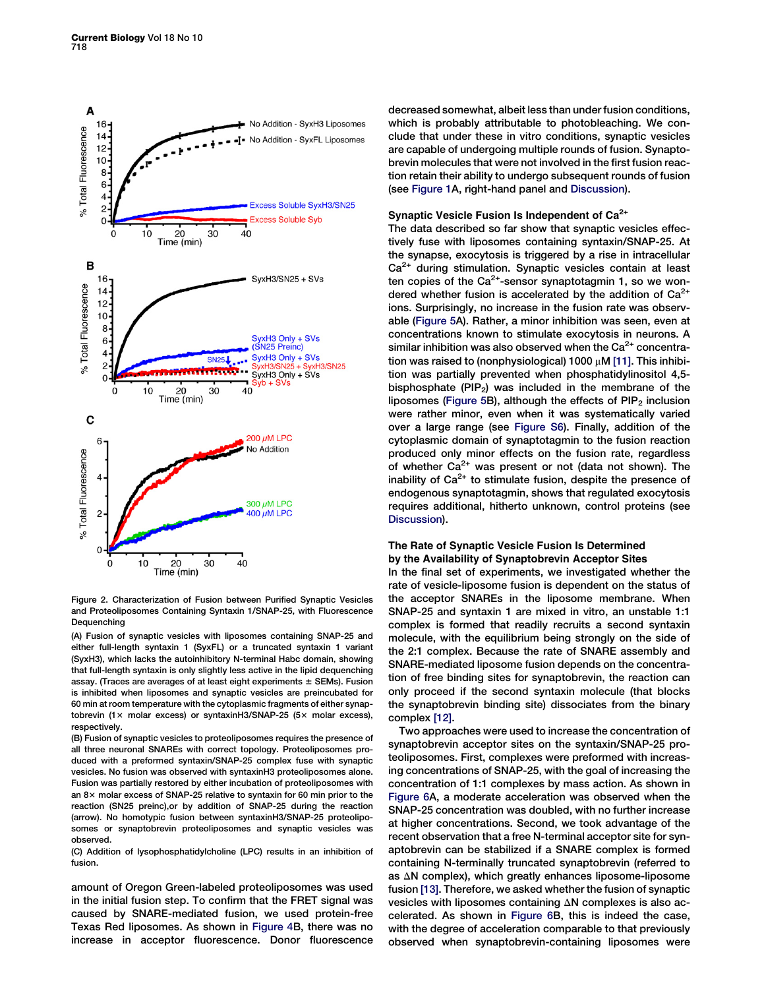<span id="page-3-0"></span>

Figure 2. Characterization of Fusion between Purified Synaptic Vesicles and Proteoliposomes Containing Syntaxin 1/SNAP-25, with Fluorescence Dequenching

(A) Fusion of synaptic vesicles with liposomes containing SNAP-25 and either full-length syntaxin 1 (SyxFL) or a truncated syntaxin 1 variant (SyxH3), which lacks the autoinhibitory N-terminal Habc domain, showing that full-length syntaxin is only slightly less active in the lipid dequenching assay. (Traces are averages of at least eight experiments  $\pm$  SEMs). Fusion is inhibited when liposomes and synaptic vesicles are preincubated for 60 min at room temperature with the cytoplasmic fragments of either synaptobrevin (1 $\times$  molar excess) or syntaxinH3/SNAP-25 (5 $\times$  molar excess), respectively.

(B) Fusion of synaptic vesicles to proteoliposomes requires the presence of all three neuronal SNAREs with correct topology. Proteoliposomes produced with a preformed syntaxin/SNAP-25 complex fuse with synaptic vesicles. No fusion was observed with syntaxinH3 proteoliposomes alone. Fusion was partially restored by either incubation of proteoliposomes with an  $8\times$  molar excess of SNAP-25 relative to syntaxin for 60 min prior to the reaction (SN25 preinc),or by addition of SNAP-25 during the reaction (arrow). No homotypic fusion between syntaxinH3/SNAP-25 proteoliposomes or synaptobrevin proteoliposomes and synaptic vesicles was observed.

(C) Addition of lysophosphatidylcholine (LPC) results in an inhibition of fusion.

amount of Oregon Green-labeled proteoliposomes was used in the initial fusion step. To confirm that the FRET signal was caused by SNARE-mediated fusion, we used protein-free Texas Red liposomes. As shown in [Figure 4](#page-5-0)B, there was no increase in acceptor fluorescence. Donor fluorescence decreased somewhat, albeit less than under fusion conditions, which is probably attributable to photobleaching. We conclude that under these in vitro conditions, synaptic vesicles are capable of undergoing multiple rounds of fusion. Synaptobrevin molecules that were not involved in the first fusion reaction retain their ability to undergo subsequent rounds of fusion (see [Figure 1A](#page-2-0), right-hand panel and [Discussion\)](#page-4-0).

# Synaptic Vesicle Fusion Is Independent of Ca<sup>2+</sup>

The data described so far show that synaptic vesicles effectively fuse with liposomes containing syntaxin/SNAP-25. At the synapse, exocytosis is triggered by a rise in intracellular Ca<sup>2+</sup> during stimulation. Synaptic vesicles contain at least ten copies of the  $Ca^{2+}$ -sensor synaptotagmin 1, so we wondered whether fusion is accelerated by the addition of  $Ca<sup>2+</sup>$ ions. Surprisingly, no increase in the fusion rate was observable [\(Figure 5](#page-5-0)A). Rather, a minor inhibition was seen, even at concentrations known to stimulate exocytosis in neurons. A similar inhibition was also observed when the  $Ca<sup>2+</sup>$  concentration was raised to (nonphysiological) 1000  $\mu$ M [\[11\].](#page-7-0) This inhibition was partially prevented when phosphatidylinositol 4,5 bisphosphate  $(PIP_2)$  was included in the membrane of the liposomes [\(Figure 5](#page-5-0)B), although the effects of  $\text{PIP}_2$  inclusion were rather minor, even when it was systematically varied over a large range (see [Figure S6](#page-7-0)). Finally, addition of the cytoplasmic domain of synaptotagmin to the fusion reaction produced only minor effects on the fusion rate, regardless of whether  $Ca^{2+}$  was present or not (data not shown). The inability of  $Ca<sup>2+</sup>$  to stimulate fusion, despite the presence of endogenous synaptotagmin, shows that regulated exocytosis requires additional, hitherto unknown, control proteins (see [Discussion](#page-4-0)).

## The Rate of Synaptic Vesicle Fusion Is Determined by the Availability of Synaptobrevin Acceptor Sites

In the final set of experiments, we investigated whether the rate of vesicle-liposome fusion is dependent on the status of the acceptor SNAREs in the liposome membrane. When SNAP-25 and syntaxin 1 are mixed in vitro, an unstable 1:1 complex is formed that readily recruits a second syntaxin molecule, with the equilibrium being strongly on the side of the 2:1 complex. Because the rate of SNARE assembly and SNARE-mediated liposome fusion depends on the concentration of free binding sites for synaptobrevin, the reaction can only proceed if the second syntaxin molecule (that blocks the synaptobrevin binding site) dissociates from the binary complex [\[12\].](#page-7-0)

Two approaches were used to increase the concentration of synaptobrevin acceptor sites on the syntaxin/SNAP-25 proteoliposomes. First, complexes were preformed with increasing concentrations of SNAP-25, with the goal of increasing the concentration of 1:1 complexes by mass action. As shown in [Figure 6](#page-6-0)A, a moderate acceleration was observed when the SNAP-25 concentration was doubled, with no further increase at higher concentrations. Second, we took advantage of the recent observation that a free N-terminal acceptor site for synaptobrevin can be stabilized if a SNARE complex is formed containing N-terminally truncated synaptobrevin (referred to as  $\Delta N$  complex), which greatly enhances liposome-liposome fusion [\[13\]](#page-7-0). Therefore, we asked whether the fusion of synaptic vesicles with liposomes containing  $\Delta N$  complexes is also accelerated. As shown in [Figure 6](#page-6-0)B, this is indeed the case, with the degree of acceleration comparable to that previously observed when synaptobrevin-containing liposomes were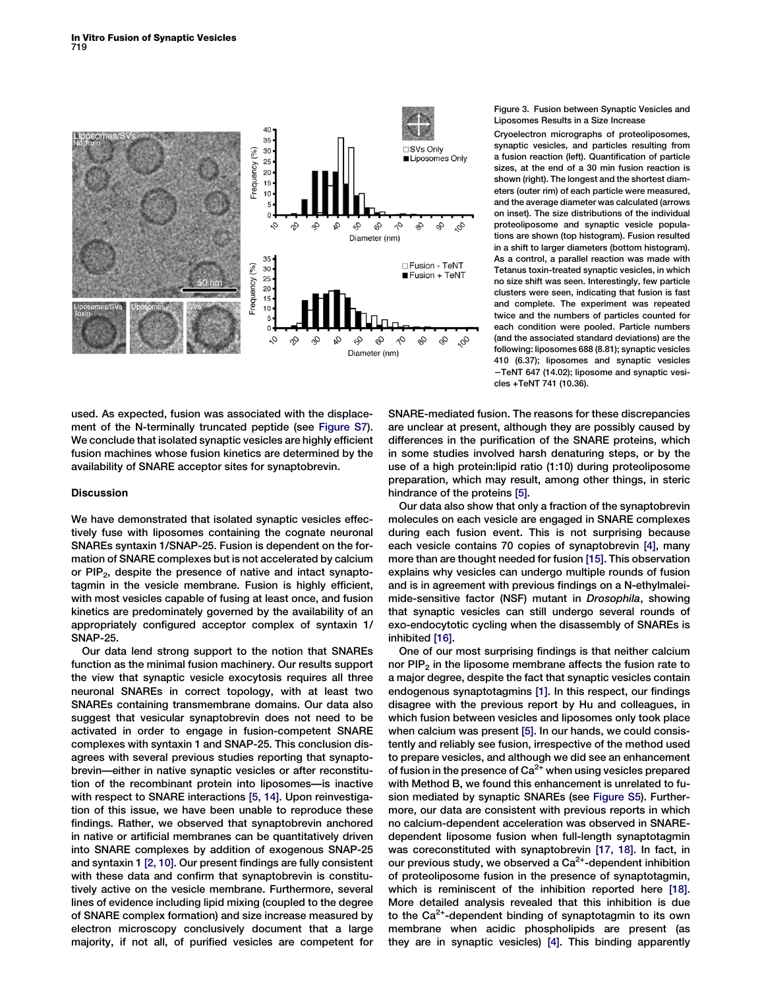<span id="page-4-0"></span>

used. As expected, fusion was associated with the displacement of the N-terminally truncated peptide (see [Figure S7\)](#page-7-0). We conclude that isolated synaptic vesicles are highly efficient fusion machines whose fusion kinetics are determined by the availability of SNARE acceptor sites for synaptobrevin.

## Discussion

We have demonstrated that isolated synaptic vesicles effectively fuse with liposomes containing the cognate neuronal SNAREs syntaxin 1/SNAP-25. Fusion is dependent on the formation of SNARE complexes but is not accelerated by calcium or  $PIP<sub>2</sub>$ , despite the presence of native and intact synaptotagmin in the vesicle membrane. Fusion is highly efficient, with most vesicles capable of fusing at least once, and fusion kinetics are predominately governed by the availability of an appropriately configured acceptor complex of syntaxin 1/ SNAP-25.

Our data lend strong support to the notion that SNAREs function as the minimal fusion machinery. Our results support the view that synaptic vesicle exocytosis requires all three neuronal SNAREs in correct topology, with at least two SNAREs containing transmembrane domains. Our data also suggest that vesicular synaptobrevin does not need to be activated in order to engage in fusion-competent SNARE complexes with syntaxin 1 and SNAP-25. This conclusion disagrees with several previous studies reporting that synaptobrevin—either in native synaptic vesicles or after reconstitution of the recombinant protein into liposomes—is inactive with respect to SNARE interactions [\[5, 14\].](#page-7-0) Upon reinvestigation of this issue, we have been unable to reproduce these findings. Rather, we observed that synaptobrevin anchored in native or artificial membranes can be quantitatively driven into SNARE complexes by addition of exogenous SNAP-25 and syntaxin 1 [\[2, 10\].](#page-7-0) Our present findings are fully consistent with these data and confirm that synaptobrevin is constitutively active on the vesicle membrane. Furthermore, several lines of evidence including lipid mixing (coupled to the degree of SNARE complex formation) and size increase measured by electron microscopy conclusively document that a large majority, if not all, of purified vesicles are competent for

## Figure 3. Fusion between Synaptic Vesicles and Liposomes Results in a Size Increase

Cryoelectron micrographs of proteoliposomes, synaptic vesicles, and particles resulting from a fusion reaction (left). Quantification of particle sizes, at the end of a 30 min fusion reaction is shown (right). The longest and the shortest diameters (outer rim) of each particle were measured, and the average diameter was calculated (arrows on inset). The size distributions of the individual proteoliposome and synaptic vesicle populations are shown (top histogram). Fusion resulted in a shift to larger diameters (bottom histogram). As a control, a parallel reaction was made with Tetanus toxin-treated synaptic vesicles, in which no size shift was seen. Interestingly, few particle clusters were seen, indicating that fusion is fast and complete. The experiment was repeated twice and the numbers of particles counted for each condition were pooled. Particle numbers (and the associated standard deviations) are the following: liposomes 688 (8.81); synaptic vesicles 410 (6.37); liposomes and synaptic vesicles -TeNT 647 (14.02); liposome and synaptic vesicles +TeNT 741 (10.36).

SNARE-mediated fusion. The reasons for these discrepancies are unclear at present, although they are possibly caused by differences in the purification of the SNARE proteins, which in some studies involved harsh denaturing steps, or by the use of a high protein:lipid ratio (1:10) during proteoliposome preparation, which may result, among other things, in steric hindrance of the proteins [\[5\]](#page-7-0).

Our data also show that only a fraction of the synaptobrevin molecules on each vesicle are engaged in SNARE complexes during each fusion event. This is not surprising because each vesicle contains 70 copies of synaptobrevin [\[4\]](#page-7-0), many more than are thought needed for fusion [\[15\]](#page-7-0). This observation explains why vesicles can undergo multiple rounds of fusion and is in agreement with previous findings on a N-ethylmaleimide-sensitive factor (NSF) mutant in Drosophila, showing that synaptic vesicles can still undergo several rounds of exo-endocytotic cycling when the disassembly of SNAREs is inhibited [\[16\].](#page-7-0)

One of our most surprising findings is that neither calcium nor  $PIP<sub>2</sub>$  in the liposome membrane affects the fusion rate to a major degree, despite the fact that synaptic vesicles contain endogenous synaptotagmins [\[1\].](#page-7-0) In this respect, our findings disagree with the previous report by Hu and colleagues, in which fusion between vesicles and liposomes only took place when calcium was present [\[5\].](#page-7-0) In our hands, we could consistently and reliably see fusion, irrespective of the method used to prepare vesicles, and although we did see an enhancement of fusion in the presence of  $Ca<sup>2+</sup>$  when using vesicles prepared with Method B, we found this enhancement is unrelated to fusion mediated by synaptic SNAREs (see [Figure S5](#page-7-0)). Furthermore, our data are consistent with previous reports in which no calcium-dependent acceleration was observed in SNAREdependent liposome fusion when full-length synaptotagmin was coreconstituted with synaptobrevin [\[17, 18\].](#page-7-0) In fact, in our previous study, we observed a  $Ca<sup>2+</sup>$ -dependent inhibition of proteoliposome fusion in the presence of synaptotagmin, which is reminiscent of the inhibition reported here [\[18\]](#page-7-0). More detailed analysis revealed that this inhibition is due to the  $Ca<sup>2+</sup>$ -dependent binding of synaptotagmin to its own membrane when acidic phospholipids are present (as they are in synaptic vesicles) [\[4\]](#page-7-0). This binding apparently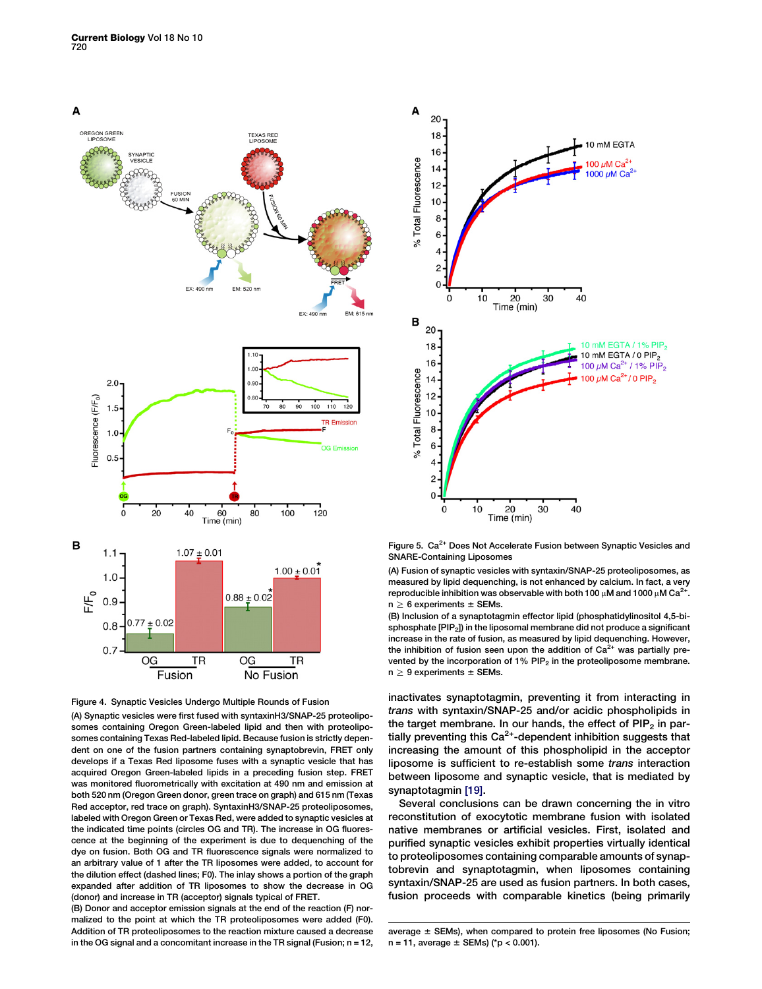<span id="page-5-0"></span>



(A) Synaptic vesicles were first fused with syntaxinH3/SNAP-25 proteoliposomes containing Oregon Green-labeled lipid and then with proteoliposomes containing Texas Red-labeled lipid. Because fusion is strictly dependent on one of the fusion partners containing synaptobrevin, FRET only develops if a Texas Red liposome fuses with a synaptic vesicle that has acquired Oregon Green-labeled lipids in a preceding fusion step. FRET was monitored fluorometrically with excitation at 490 nm and emission at both 520 nm (Oregon Green donor, green trace on graph) and 615 nm (Texas Red acceptor, red trace on graph). SyntaxinH3/SNAP-25 proteoliposomes, labeled with Oregon Green or Texas Red, were added to synaptic vesicles at the indicated time points (circles OG and TR). The increase in OG fluorescence at the beginning of the experiment is due to dequenching of the dye on fusion. Both OG and TR fluorescence signals were normalized to an arbitrary value of 1 after the TR liposomes were added, to account for the dilution effect (dashed lines; F0). The inlay shows a portion of the graph expanded after addition of TR liposomes to show the decrease in OG (donor) and increase in TR (acceptor) signals typical of FRET.

(B) Donor and acceptor emission signals at the end of the reaction (F) normalized to the point at which the TR proteoliposomes were added (F0). Addition of TR proteoliposomes to the reaction mixture caused a decrease in the OG signal and a concomitant increase in the TR signal (Fusion; n = 12,



Figure 5. Ca<sup>2+</sup> Does Not Accelerate Fusion between Synaptic Vesicles and SNARE-Containing Liposomes

(A) Fusion of synaptic vesicles with syntaxin/SNAP-25 proteoliposomes, as measured by lipid dequenching, is not enhanced by calcium. In fact, a very reproducible inhibition was observable with both 100  $\mu$ M and 1000  $\mu$ M Ca<sup>2+</sup>.  $n \geq 6$  experiments  $\pm$  SEMs.

(B) Inclusion of a synaptotagmin effector lipid (phosphatidylinositol 4,5-bisphosphate [PIP<sub>2</sub>]) in the liposomal membrane did not produce a significant increase in the rate of fusion, as measured by lipid dequenching. However, the inhibition of fusion seen upon the addition of  $Ca<sup>2+</sup>$  was partially prevented by the incorporation of  $1\%$  PIP<sub>2</sub> in the proteoliposome membrane.  $n \geq 9$  experiments  $\pm$  SEMs.

inactivates synaptotagmin, preventing it from interacting in trans with syntaxin/SNAP-25 and/or acidic phospholipids in the target membrane. In our hands, the effect of  $PIP<sub>2</sub>$  in partially preventing this  $Ca^{2+}$ -dependent inhibition suggests that increasing the amount of this phospholipid in the acceptor liposome is sufficient to re-establish some trans interaction between liposome and synaptic vesicle, that is mediated by synaptotagmin [\[19\]](#page-7-0).

Several conclusions can be drawn concerning the in vitro reconstitution of exocytotic membrane fusion with isolated native membranes or artificial vesicles. First, isolated and purified synaptic vesicles exhibit properties virtually identical to proteoliposomes containing comparable amounts of synaptobrevin and synaptotagmin, when liposomes containing syntaxin/SNAP-25 are used as fusion partners. In both cases, fusion proceeds with comparable kinetics (being primarily

average  $\pm$  SEMs), when compared to protein free liposomes (No Fusion;  $n = 11$ , average  $\pm$  SEMs) (\*p < 0.001).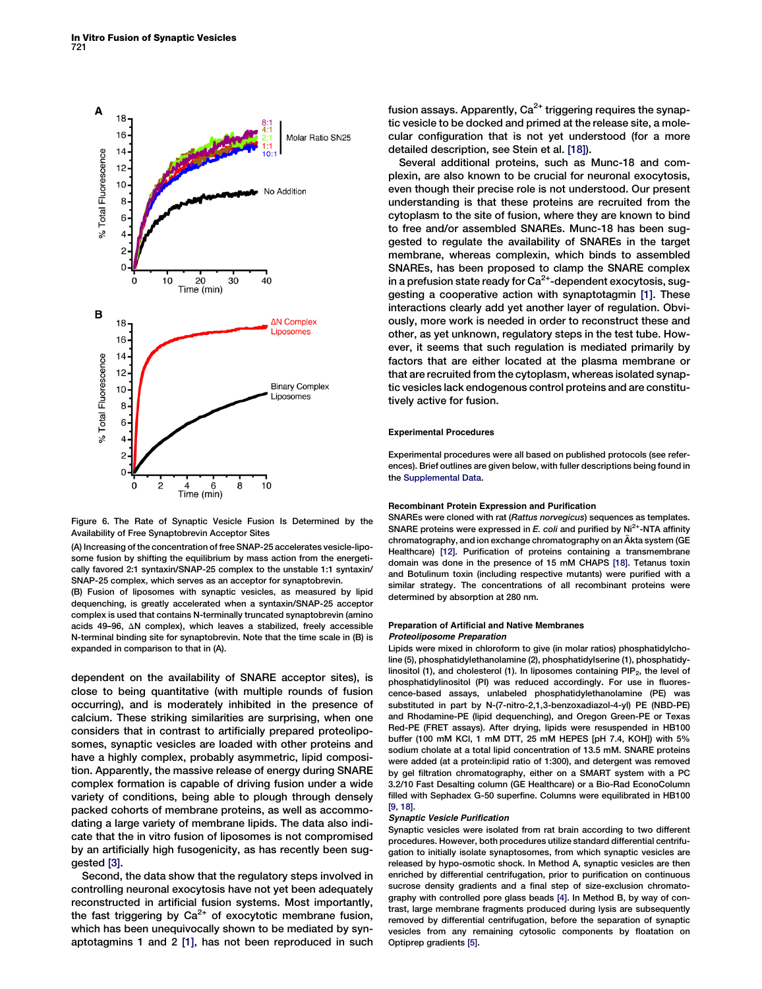<span id="page-6-0"></span>

Figure 6. The Rate of Synaptic Vesicle Fusion Is Determined by the Availability of Free Synaptobrevin Acceptor Sites

(A) Increasing of the concentration of free SNAP-25 accelerates vesicle-liposome fusion by shifting the equilibrium by mass action from the energetically favored 2:1 syntaxin/SNAP-25 complex to the unstable 1:1 syntaxin/ SNAP-25 complex, which serves as an acceptor for synaptobrevin.

(B) Fusion of liposomes with synaptic vesicles, as measured by lipid dequenching, is greatly accelerated when a syntaxin/SNAP-25 acceptor complex is used that contains N-terminally truncated synaptobrevin (amino acids 49-96,  $\Delta N$  complex), which leaves a stabilized, freely accessible N-terminal binding site for synaptobrevin. Note that the time scale in (B) is expanded in comparison to that in (A).

dependent on the availability of SNARE acceptor sites), is close to being quantitative (with multiple rounds of fusion occurring), and is moderately inhibited in the presence of calcium. These striking similarities are surprising, when one considers that in contrast to artificially prepared proteoliposomes, synaptic vesicles are loaded with other proteins and have a highly complex, probably asymmetric, lipid composition. Apparently, the massive release of energy during SNARE complex formation is capable of driving fusion under a wide variety of conditions, being able to plough through densely packed cohorts of membrane proteins, as well as accommodating a large variety of membrane lipids. The data also indicate that the in vitro fusion of liposomes is not compromised by an artificially high fusogenicity, as has recently been suggested [\[3\]](#page-7-0).

Second, the data show that the regulatory steps involved in controlling neuronal exocytosis have not yet been adequately reconstructed in artificial fusion systems. Most importantly, the fast triggering by  $Ca^{2+}$  of exocytotic membrane fusion, which has been unequivocally shown to be mediated by synaptotagmins 1 and 2 [\[1\],](#page-7-0) has not been reproduced in such

fusion assays. Apparently,  $Ca^{2+}$  triggering requires the synaptic vesicle to be docked and primed at the release site, a molecular configuration that is not yet understood (for a more detailed description, see Stein et al. [\[18\]\)](#page-7-0).

Several additional proteins, such as Munc-18 and complexin, are also known to be crucial for neuronal exocytosis, even though their precise role is not understood. Our present understanding is that these proteins are recruited from the cytoplasm to the site of fusion, where they are known to bind to free and/or assembled SNAREs. Munc-18 has been suggested to regulate the availability of SNAREs in the target membrane, whereas complexin, which binds to assembled SNAREs, has been proposed to clamp the SNARE complex in a prefusion state ready for  $Ca<sup>2+</sup>$ -dependent exocytosis, suggesting a cooperative action with synaptotagmin [\[1\].](#page-7-0) These interactions clearly add yet another layer of regulation. Obviously, more work is needed in order to reconstruct these and other, as yet unknown, regulatory steps in the test tube. However, it seems that such regulation is mediated primarily by factors that are either located at the plasma membrane or that are recruited from the cytoplasm, whereas isolated synaptic vesicles lack endogenous control proteins and are constitutively active for fusion.

#### Experimental Procedures

Experimental procedures were all based on published protocols (see references). Brief outlines are given below, with fuller descriptions being found in the [Supplemental Data](#page-7-0).

#### Recombinant Protein Expression and Purification

SNAREs were cloned with rat (Rattus norvegicus) sequences as templates. SNARE proteins were expressed in  $E$ . coli and purified by  $Ni<sup>2+</sup>$ -NTA affinity chromatography, and ion exchange chromatography on an Äkta system (GE Healthcare) [\[12\]](#page-7-0). Purification of proteins containing a transmembrane domain was done in the presence of 15 mM CHAPS [\[18\]](#page-7-0). Tetanus toxin and Botulinum toxin (including respective mutants) were purified with a similar strategy. The concentrations of all recombinant proteins were determined by absorption at 280 nm.

# Preparation of Artificial and Native Membranes

#### Proteoliposome Preparation

Lipids were mixed in chloroform to give (in molar ratios) phosphatidylcholine (5), phosphatidylethanolamine (2), phosphatidylserine (1), phosphatidylinositol (1), and cholesterol (1). In liposomes containing  $\text{PIP}_2$ , the level of phosphatidylinositol (PI) was reduced accordingly. For use in fluorescence-based assays, unlabeled phosphatidylethanolamine (PE) was substituted in part by N-(7-nitro-2,1,3-benzoxadiazol-4-yl) PE (NBD-PE) and Rhodamine-PE (lipid dequenching), and Oregon Green-PE or Texas Red-PE (FRET assays). After drying, lipids were resuspended in HB100 buffer (100 mM KCl, 1 mM DTT, 25 mM HEPES [pH 7.4, KOH]) with 5% sodium cholate at a total lipid concentration of 13.5 mM. SNARE proteins were added (at a protein:lipid ratio of 1:300), and detergent was removed by gel filtration chromatography, either on a SMART system with a PC 3.2/10 Fast Desalting column (GE Healthcare) or a Bio-Rad EconoColumn filled with Sephadex G-50 superfine. Columns were equilibrated in HB100 [\[9, 18\]](#page-7-0).

#### Synaptic Vesicle Purification

Synaptic vesicles were isolated from rat brain according to two different procedures. However, both procedures utilize standard differential centrifugation to initially isolate synaptosomes, from which synaptic vesicles are released by hypo-osmotic shock. In Method A, synaptic vesicles are then enriched by differential centrifugation, prior to purification on continuous sucrose density gradients and a final step of size-exclusion chromatography with controlled pore glass beads [\[4\]](#page-7-0). In Method B, by way of contrast, large membrane fragments produced during lysis are subsequently removed by differential centrifugation, before the separation of synaptic vesicles from any remaining cytosolic components by floatation on Optiprep gradients [\[5\]](#page-7-0).